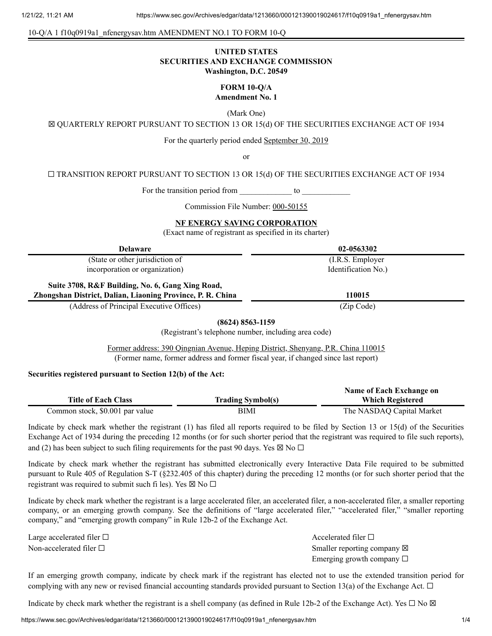#### 10-Q/A 1 f10q0919a1\_nfenergysav.htm AMENDMENT NO.1 TO FORM 10-Q

## **UNITED STATES SECURITIES AND EXCHANGE COMMISSION Washington, D.C. 20549**

## **FORM 10-Q/A Amendment No. 1**

(Mark One)

☒ QUARTERLY REPORT PURSUANT TO SECTION 13 OR 15(d) OF THE SECURITIES EXCHANGE ACT OF 1934

For the quarterly period ended September 30, 2019

or

☐ TRANSITION REPORT PURSUANT TO SECTION 13 OR 15(d) OF THE SECURITIES EXCHANGE ACT OF 1934

For the transition period from to  $\sim$ 

Commission File Number: 000-50155

#### **NF ENERGY SAVING CORPORATION**

(Exact name of registrant as specified in its charter)

| <b>Delaware</b>                                                                                                | 02-0563302          |
|----------------------------------------------------------------------------------------------------------------|---------------------|
| (State or other jurisdiction of                                                                                | (I.R.S. Employer)   |
| incorporation or organization)                                                                                 | Identification No.) |
| Suite 3708, R&F Building, No. 6, Gang Xing Road,<br>Zhongshan District, Dalian, Liaoning Province, P. R. China | 110015              |
| (Address of Principal Executive Offices)                                                                       | (Zip Code)          |

## **(8624) 8563-1159**

(Registrant's telephone number, including area code)

Former address: 390 Qingnian Avenue, Heping District, Shenyang, P.R. China 110015 (Former name, former address and former fiscal year, if changed since last report)

## **Securities registered pursuant to Section 12(b) of the Act:**

|                                 |                          | Name of Each Exchange on  |
|---------------------------------|--------------------------|---------------------------|
| <b>Title of Each Class</b>      | <b>Trading Symbol(s)</b> | <b>Which Registered</b>   |
| Common stock, \$0.001 par value | BIMI                     | The NASDAQ Capital Market |

Indicate by check mark whether the registrant (1) has filed all reports required to be filed by Section 13 or 15(d) of the Securities Exchange Act of 1934 during the preceding 12 months (or for such shorter period that the registrant was required to file such reports), and (2) has been subject to such filing requirements for the past 90 days. Yes  $\boxtimes$  No  $\Box$ 

Indicate by check mark whether the registrant has submitted electronically every Interactive Data File required to be submitted pursuant to Rule 405 of Regulation S-T (§232.405 of this chapter) during the preceding 12 months (or for such shorter period that the registrant was required to submit such fi les). Yes  $\boxtimes$  No  $\square$ 

Indicate by check mark whether the registrant is a large accelerated filer, an accelerated filer, a non-accelerated filer, a smaller reporting company, or an emerging growth company. See the definitions of "large accelerated filer," "accelerated filer," "smaller reporting company," and "emerging growth company" in Rule 12b-2 of the Exchange Act.

Large accelerated filer □ accelerated filer □ accelerated filer □

Non-accelerated filer □ state of the state of the Smaller reporting company ⊠ Emerging growth company  $\Box$ 

If an emerging growth company, indicate by check mark if the registrant has elected not to use the extended transition period for complying with any new or revised financial accounting standards provided pursuant to Section 13(a) of the Exchange Act.  $\Box$ 

Indicate by check mark whether the registrant is a shell company (as defined in Rule 12b-2 of the Exchange Act). Yes  $\Box$  No  $\boxtimes$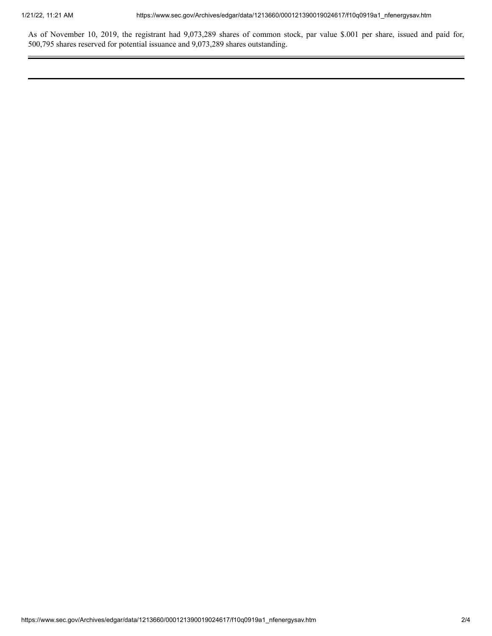As of November 10, 2019, the registrant had 9,073,289 shares of common stock, par value \$.001 per share, issued and paid for, 500,795 shares reserved for potential issuance and 9,073,289 shares outstanding.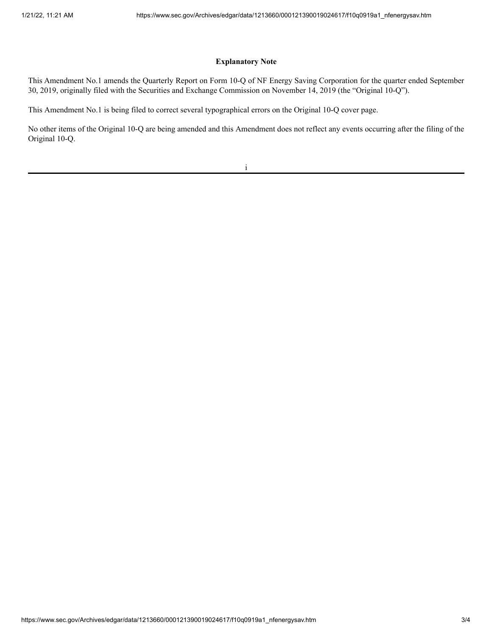## **Explanatory Note**

This Amendment No.1 amends the Quarterly Report on Form 10-Q of NF Energy Saving Corporation for the quarter ended September 30, 2019, originally filed with the Securities and Exchange Commission on November 14, 2019 (the "Original 10-Q").

This Amendment No.1 is being filed to correct several typographical errors on the Original 10-Q cover page.

No other items of the Original 10-Q are being amended and this Amendment does not reflect any events occurring after the filing of the Original 10-Q.

i